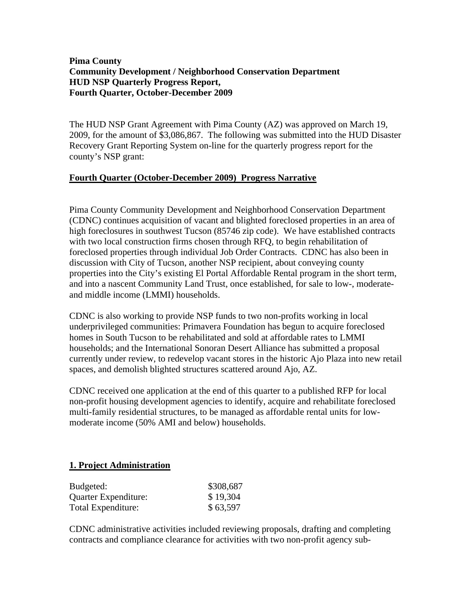### **Pima County Community Development / Neighborhood Conservation Department HUD NSP Quarterly Progress Report, Fourth Quarter, October-December 2009**

The HUD NSP Grant Agreement with Pima County (AZ) was approved on March 19, 2009, for the amount of \$3,086,867. The following was submitted into the HUD Disaster Recovery Grant Reporting System on-line for the quarterly progress report for the county's NSP grant:

# **Fourth Quarter (October-December 2009) Progress Narrative**

Pima County Community Development and Neighborhood Conservation Department (CDNC) continues acquisition of vacant and blighted foreclosed properties in an area of high foreclosures in southwest Tucson (85746 zip code). We have established contracts with two local construction firms chosen through RFQ, to begin rehabilitation of foreclosed properties through individual Job Order Contracts. CDNC has also been in discussion with City of Tucson, another NSP recipient, about conveying county properties into the City's existing El Portal Affordable Rental program in the short term, and into a nascent Community Land Trust, once established, for sale to low-, moderateand middle income (LMMI) households.

CDNC is also working to provide NSP funds to two non-profits working in local underprivileged communities: Primavera Foundation has begun to acquire foreclosed homes in South Tucson to be rehabilitated and sold at affordable rates to LMMI households; and the International Sonoran Desert Alliance has submitted a proposal currently under review, to redevelop vacant stores in the historic Ajo Plaza into new retail spaces, and demolish blighted structures scattered around Ajo, AZ.

CDNC received one application at the end of this quarter to a published RFP for local non-profit housing development agencies to identify, acquire and rehabilitate foreclosed multi-family residential structures, to be managed as affordable rental units for lowmoderate income (50% AMI and below) households.

# **1. Project Administration**

| Budgeted:            | \$308,687 |
|----------------------|-----------|
| Quarter Expenditure: | \$19,304  |
| Total Expenditure:   | \$63,597  |

CDNC administrative activities included reviewing proposals, drafting and completing contracts and compliance clearance for activities with two non-profit agency sub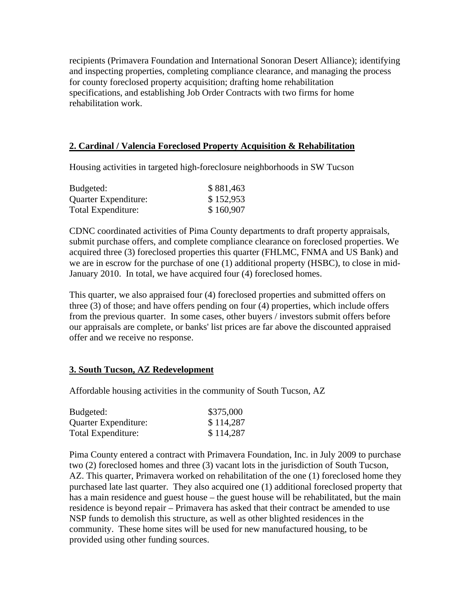recipients (Primavera Foundation and International Sonoran Desert Alliance); identifying and inspecting properties, completing compliance clearance, and managing the process for county foreclosed property acquisition; drafting home rehabilitation specifications, and establishing Job Order Contracts with two firms for home rehabilitation work.

### **2. Cardinal / Valencia Foreclosed Property Acquisition & Rehabilitation**

Housing activities in targeted high-foreclosure neighborhoods in SW Tucson

| Budgeted:            | \$881,463 |
|----------------------|-----------|
| Quarter Expenditure: | \$152,953 |
| Total Expenditure:   | \$160,907 |

CDNC coordinated activities of Pima County departments to draft property appraisals, submit purchase offers, and complete compliance clearance on foreclosed properties. We acquired three (3) foreclosed properties this quarter (FHLMC, FNMA and US Bank) and we are in escrow for the purchase of one (1) additional property (HSBC), to close in mid-January 2010. In total, we have acquired four (4) foreclosed homes.

This quarter, we also appraised four (4) foreclosed properties and submitted offers on three (3) of those; and have offers pending on four (4) properties, which include offers from the previous quarter. In some cases, other buyers / investors submit offers before our appraisals are complete, or banks' list prices are far above the discounted appraised offer and we receive no response.

### **3. South Tucson, AZ Redevelopment**

Affordable housing activities in the community of South Tucson, AZ

| Budgeted:            | \$375,000 |
|----------------------|-----------|
| Quarter Expenditure: | \$114,287 |
| Total Expenditure:   | \$114,287 |

Pima County entered a contract with Primavera Foundation, Inc. in July 2009 to purchase two (2) foreclosed homes and three (3) vacant lots in the jurisdiction of South Tucson, AZ. This quarter, Primavera worked on rehabilitation of the one (1) foreclosed home they purchased late last quarter. They also acquired one (1) additional foreclosed property that has a main residence and guest house – the guest house will be rehabilitated, but the main residence is beyond repair – Primavera has asked that their contract be amended to use NSP funds to demolish this structure, as well as other blighted residences in the community. These home sites will be used for new manufactured housing, to be provided using other funding sources.